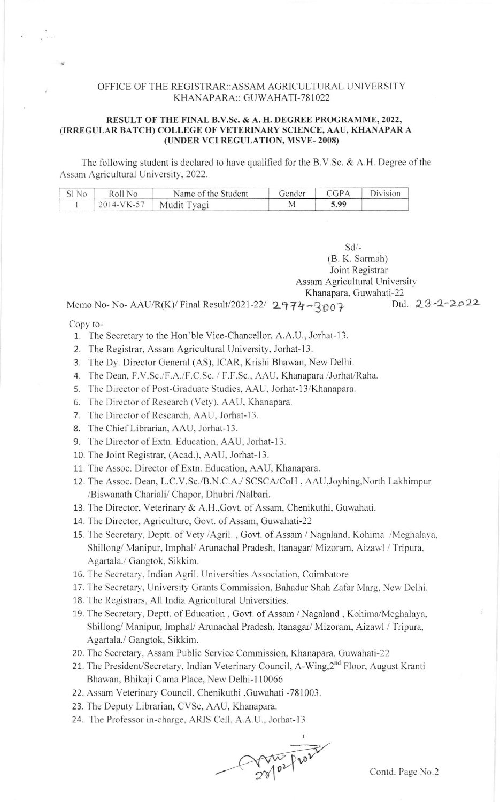## OFFICE OF THE REGISTRAR::ASSAM AGRICULTURAL UNIVERSITY KHANAPARA:: GUWAHATI-781022

## RESULT OF THE FINAL B.V.Sc. & A. H. DEGREE PROGRAMME, 2022, (IRREGULAR BATCH) COLLEGE OF VETERINARY SCIENCE, AAU, KHANAPAR A (UNDER VCI REGULATION, MSVE-2008)

The following student is declared to have qualified for the B.V.Sc. & A.H. Degree of the Assam Agricultural University, 2022.

| SIN <sub>0</sub> | Roll No    | Name of the Student | Gender | CGPA | Division |
|------------------|------------|---------------------|--------|------|----------|
|                  | 2014-VK-57 | Mudit Tyagi         |        | 5.99 |          |

sd/- (B. K. Sarmah) Joint Registrar Assam Agricultural University Khanapara, Guwahati-22<br> $-2002$  Dtd.  $23-2-2022$ 

Memo No- No-AAU/R(K)/ Final Result/2021-22/ 2974-3007

Copy to-

erikan.<br>Sekalam

- 1. The Secretary to the Hon'ble Vice-Chancellor, A.A.U., Jorhat-13.
- 2. The Registrar, Assam Agricultural University, Jorhat-13.
- 3. The Dy. Director General (AS), ICAR, Krishi Bhawan, New Delhi.
- 4. The Dean. F.V.Sc./F.A./F.C.Sc. / F.F.Sc., AAU, Khanapara /Jorhat/Raha.
- 5. The Director of Post-Graduate Studies, AAU, Jorhat-13/Khanapara.
- 6. The Director of Research (Vety), AAU, Khanapara.
- 7. The Director of Research, AAU, Jorhat-13.
- 8. The Chief Librarian, AAU, Jorhat-13.
- 9. The Director of Extn. Education, AAU, Jorhat-13.
- 10. The Joint Registrar, (Acad.), AAU, Jorhat-13.
- 11. The Assoc. Director of Extn. Education, AAU, Khanapara.
- 12. The Assoc. Dean, L.C.V.Sc./B.N.C.A./ SCSCA/CoH , AAU,Joyhing,North Lakhimpur /Biswanath Chariali/ Chapor, Dhubri /Nalbari.
- 13. The Director, Veterinary & A.H.,Govt. of Assam, Chenikuthi, Guwahati.
- 14. The Director, Agriculture, Govt. of Assam, Guwahati-22
- 15. The Secretary, Deptt. of Vety /Agril. , Govt. of Assam / Nagaland, Kohima /Meghalaya, Shillong/ Manipur, Imphal/ Arunachal Pradesh, Itanagar/ Mizoram, Aizawl / Tripura, Agartala./ Gangtok, Sikkim.
- 16. The Secretary, Indian Agril. Universities Association, Coimbatore
- 17. The Secretary, University Grants Commission, Bahadur Shah Zafar Marg, New Delhi.
- 18. The Registrars, All India Agricultural Universities.
- 19. The Secretary, Deptt. of Education, Govt. of Assam / Nagaland, Kohima/Meghalaya, Shillong/ Manipur, Imphal/ Arunachal Pradesh, Itanagar/ Mizoram, Aizawl / Tripura, <sup>A</sup>gartala./ Gangtok. Sikkim.
- 20. The Secretary, Assam Public Service Commission, Khanapara, Guwahati-22
- 21. The President/Secretary, Indian Veterinary Council, A-Wing,2<sup>nd</sup> Floor, August Kranti Bhawan, Bhikaji Cama Place, New Delhi-l 10066
- 22. Assam Veterinary Council. Chenikuthi ,Guwahati -781003.
- 23. The Deputy Librarian, CVSc, AAU, Khanapara.
- 24. The Professor in-charge, ARIS Cell, A.A.U., Jorhat-13

 $2\%$ n.D t